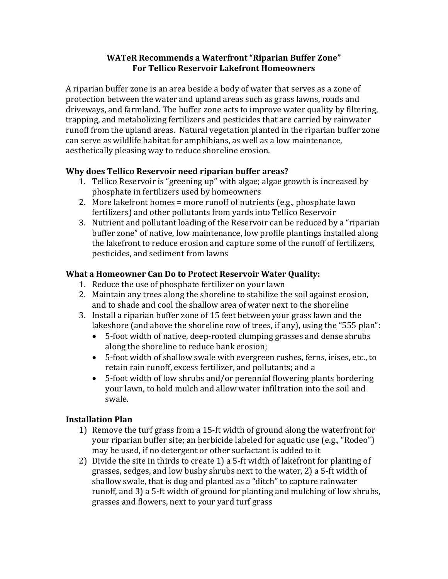## **WATeR Recommends a Waterfront "Riparian Buffer Zone" For Tellico Reservoir Lakefront Homeowners**

A riparian buffer zone is an area beside a body of water that serves as a zone of protection between the water and upland areas such as grass lawns, roads and driveways, and farmland. The buffer zone acts to improve water quality by filtering, trapping, and metabolizing fertilizers and pesticides that are carried by rainwater runoff from the upland areas. Natural vegetation planted in the riparian buffer zone can serve as wildlife habitat for amphibians, as well as a low maintenance, aesthetically pleasing way to reduce shoreline erosion.

# **Why does Tellico Reservoir need riparian buffer areas?**

- 1. Tellico Reservoir is "greening up" with algae; algae growth is increased by phosphate in fertilizers used by homeowners
- 2. More lakefront homes = more runoff of nutrients (e.g., phosphate lawn fertilizers) and other pollutants from yards into Tellico Reservoir
- 3. Nutrient and pollutant loading of the Reservoir can be reduced by a "riparian buffer zone" of native, low maintenance, low profile plantings installed along the lakefront to reduce erosion and capture some of the runoff of fertilizers, pesticides, and sediment from lawns

# **What a Homeowner Can Do to Protect Reservoir Water Quality:**

- 1. Reduce the use of phosphate fertilizer on your lawn
- 2. Maintain any trees along the shoreline to stabilize the soil against erosion, and to shade and cool the shallow area of water next to the shoreline
- 3. Install a riparian buffer zone of 15 feet between your grass lawn and the lakeshore (and above the shoreline row of trees, if any), using the "555 plan":
	- 5-foot width of native, deep-rooted clumping grasses and dense shrubs along the shoreline to reduce bank erosion;
	- 5-foot width of shallow swale with evergreen rushes, ferns, irises, etc., to retain rain runoff, excess fertilizer, and pollutants; and a
	- 5-foot width of low shrubs and/or perennial flowering plants bordering your lawn, to hold mulch and allow water infiltration into the soil and swale.

## **Installation Plan**

- 1) Remove the turf grass from a 15-ft width of ground along the waterfront for your riparian buffer site; an herbicide labeled for aquatic use (e.g., "Rodeo") may be used, if no detergent or other surfactant is added to it
- 2) Divide the site in thirds to create 1) a 5-ft width of lakefront for planting of grasses, sedges, and low bushy shrubs next to the water, 2) a 5-ft width of shallow swale, that is dug and planted as a "ditch" to capture rainwater runoff, and 3) a 5-ft width of ground for planting and mulching of low shrubs, grasses and flowers, next to your yard turf grass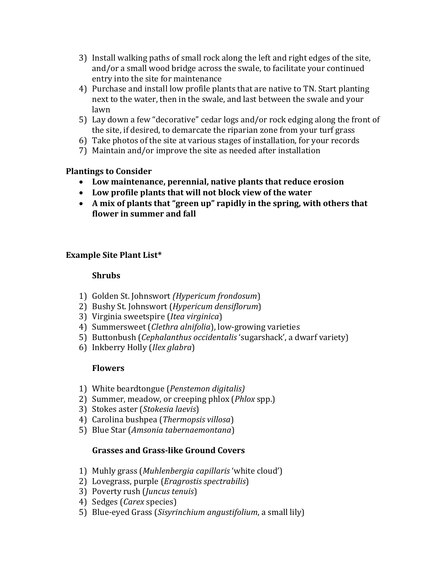- 3) Install walking paths of small rock along the left and right edges of the site, and/or a small wood bridge across the swale, to facilitate your continued entry into the site for maintenance
- 4) Purchase and install low profile plants that are native to TN. Start planting next to the water, then in the swale, and last between the swale and your lawn
- 5) Lay down a few "decorative" cedar logs and/or rock edging along the front of the site, if desired, to demarcate the riparian zone from your turf grass
- 6) Take photos of the site at various stages of installation, for your records
- 7) Maintain and/or improve the site as needed after installation

## **Plantings to Consider**

- **Low maintenance, perennial, native plants that reduce erosion**
- **Low profile plants that will not block view of the water**
- **A mix of plants that "green up" rapidly in the spring, with others that flower in summer and fall**

## **Example Site Plant List\***

## **Shrubs**

- 1) Golden St. Johnswort *(Hypericum frondosum*)
- 2) Bushy St. Johnswort (*Hypericum densiflorum*)
- 3) Virginia sweetspire (*Itea virginica*)
- 4) Summersweet (*Clethra alnifolia*), low-growing varieties
- 5) Buttonbush (*Cephalanthus occidentalis* 'sugarshack', a dwarf variety)
- 6) Inkberry Holly (*Ilex glabra*)

#### **Flowers**

- 1) White beardtongue (*Penstemon digitalis)*
- 2) Summer, meadow, or creeping phlox (*Phlox* spp.)
- 3) Stokes aster (*Stokesia laevis*)
- 4) Carolina bushpea (*Thermopsis villosa*)
- 5) Blue Star (*Amsonia tabernaemontana*)

## **Grasses and Grass-like Ground Covers**

- 1) Muhly grass (*Muhlenbergia capillaris* 'white cloud')
- 2) Lovegrass, purple (*Eragrostis spectrabilis*)
- 3) Poverty rush (*Juncus tenuis*)
- 4) Sedges (*Carex* species)
- 5) Blue-eyed Grass (*Sisyrinchium angustifolium*, a small lily)